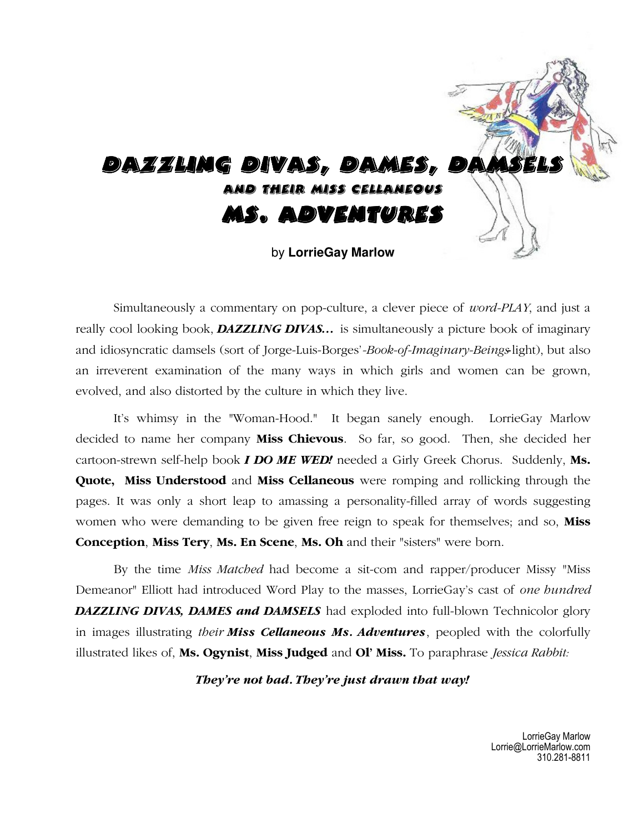

Simultaneously a commentary on pop-culture, a clever piece of *word-PLAY*, and just a really cool looking book, *DAZZLING DIVAS…* is simultaneously a picture book of imaginary and idiosyncratic damsels (sort of Jorge-Luis-Borges'*-Book-of-Imaginary-Beings-*light), but also an irreverent examination of the many ways in which girls and women can be grown, evolved, and also distorted by the culture in which they live.

It's whimsy in the "Woman-Hood."It began sanely enough. LorrieGay Marlow decided to name her company **Miss Chievous**. So far, so good. Then, she decided her cartoon-strewn self-help book *I DO ME WED!* needed a Girly Greek Chorus. Suddenly, **Ms. Quote, Miss Understood** and **Miss Cellaneous** were romping and rollicking through the pages. It was only a short leap to amassing a personality-filled array of words suggesting women who were demanding to be given free reign to speak for themselves; and so, **Miss Conception**, **Miss Tery**, **Ms. En Scene**, **Ms. Oh** and their "sisters" were born.

By the time *Miss Matched* had become a sit-com and rapper/producer Missy "Miss Demeanor" Elliott had introduced Word Play to the masses, LorrieGay's cast of *one hundred DAZZLING DIVAS, DAMES and DAMSELS* had exploded into full-blown Technicolor glory in images illustrating *their Miss Cellaneous Ms. Adventures*, peopled with the colorfully illustrated likes of, **Ms. Ogynist**, **Miss Judged** and **Ol' Miss.** To paraphrase *Jessica Rabbit:* 

*They're not bad. They're just drawn that way!*

LorrieGay Marlow Lorrie@LorrieMarlow.com 310.281-8811